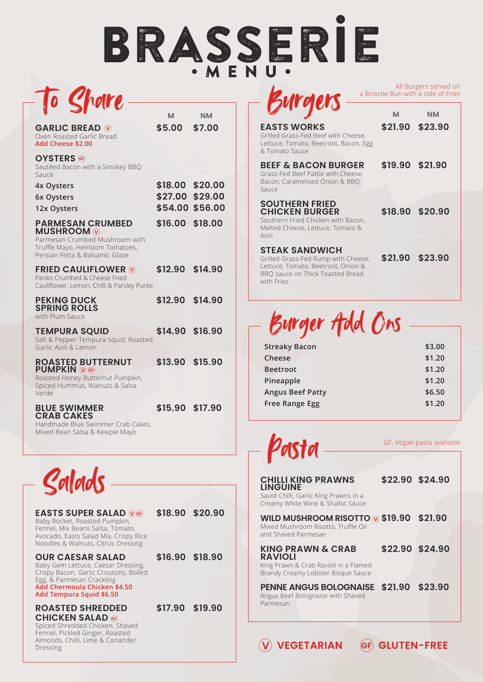## Brasserie •MENU•



|                                                                                                                                                      | м                                             | ΝM      |
|------------------------------------------------------------------------------------------------------------------------------------------------------|-----------------------------------------------|---------|
| <b>GARLIC BREAD W</b><br>Oven Roasted Garlic Bread<br>Add Cheese \$2.00                                                                              | \$5.00                                        | \$7.00  |
| <b>OYSTERS</b><br>Sautéed Bacon with a Smokey BBQ<br>Sauce                                                                                           |                                               |         |
| 4x Oysters<br>6x Oysters<br>12x Oysters                                                                                                              | \$18.00<br>\$27.00 \$29.00<br>\$54.00 \$56.00 | \$20.00 |
| <b>PARMESAN CRUMBED</b><br><b>MUSHROOM</b> W<br>Parmesan Crumbed Mushroom with<br>Truffle Mayo, Heirloom Tomatoes,<br>Persian Fetta & Balsamic Glaze | \$16.00                                       | \$18.00 |
| <b>FRIED CAULIFLOWER W</b><br>Panko Crumbed & Cheese Fried<br>Cauliflower, Lemon, Chilli & Parsley Purée                                             | \$12.90                                       | \$14.90 |
| <b>PEKING DUCK</b><br><b>SPRING ROLLS</b><br>with Plum Sauce                                                                                         | \$12.90                                       | \$14.90 |
| <b>TEMPURA SQUID</b><br>Salt & Pepper Tempura Squid, Roasted<br>Garlic Aioli & Lemon                                                                 | \$14.90 \$16.90                               |         |
| <b>ROASTED BUTTERNUT</b><br><b>PUMPKIN WEB</b><br>Roasted Honey Butternut Pumpkin,<br>Spiced Hummus, Walnuts & Salsa<br>Verde                        | \$13.90 \$15.90                               |         |
| <b>BLUE SWIMMER</b><br><b>CRAB CAKES</b><br>Handmade Blue Swimmer Crab Cakes,                                                                        | \$15.90 \$17.90                               |         |

Mixed Bean Salsa & Kewpie Mayo



| <b>EASTS SUPER SALAD WGF</b><br>Baby Rocket, Roasted Pumpkin,<br>Fennel, Mix Beans Salsa, Tomato,                                                                                               | \$18.90 \$20.90 |
|-------------------------------------------------------------------------------------------------------------------------------------------------------------------------------------------------|-----------------|
| Avocado, Easts Salad Mix, Crispy Rice<br>Noodles & Walnuts, Citrus Dressing                                                                                                                     |                 |
| <b>OUR CAESAR SALAD</b><br>Baby Gem Lettuce, Caesar Dressing,<br>Crispy Bacon, Garlic Croutons, Boiled<br>Egg, & Parmesan Crackling<br>Add Chermoula Chicken \$4.50<br>Add Tempura Squid \$6.50 | \$16.90 \$18.90 |
| <b>ROASTED SHREDDED</b><br>CHICKEN SALAD @                                                                                                                                                      | \$17.90 \$19.90 |

**CHICKEN SALAD @**<br>Spiced Shredded Chicken, Shaved Fennel, Pickled Ginger, Roasted Almonds, Chilli, Lime & Coriander Dressing

**Kurgers** 

All Burgers served on a Brioche Bun with a side of Fries

| <b>EASTS WORKS</b><br>Grilled Grass-Fed Beef with Cheese,<br>Lettuce, Tomato, Beetroot, Bacon, Egg<br>& Tomato Sauce                                 | M               | <b>NM</b><br>\$21.90 \$23.90 |
|------------------------------------------------------------------------------------------------------------------------------------------------------|-----------------|------------------------------|
| <b>BEEF &amp; BACON BURGER</b><br>Grass-Fed Beef Pattie with Cheese,<br>Bacon, Caramelised Onion & BBO<br>Sauce                                      | \$19.90 \$21.90 |                              |
| <b>SOUTHERN FRIED</b><br><b>CHICKEN BURGER</b><br>Southern Fried Chicken with Bacon,<br>Melted Cheese, Lettuce, Tomato &<br>Aioli                    |                 | \$18.90 \$20.90              |
| <b>STEAK SANDWICH</b><br>Grilled Grass-Fed Rump with Cheese,<br>Lettuce, Tomato, Beetroot, Onion &<br>BBO sauce on Thick Toasted Bread<br>with Fries |                 | \$21.90 \$23.90              |

Burger Add Ons

| <b>Streaky Bacon</b>    | \$3.00 |
|-------------------------|--------|
| Cheese                  | \$1.20 |
| <b>Beetroot</b>         | \$1.20 |
| Pineapple               | \$1.20 |
| <b>Angus Beef Patty</b> | \$6.50 |
| <b>Free Range Egg</b>   | \$1.20 |
|                         |        |



GF, Vegan pasta available

| <b>CHILLI KING PRAWNS</b><br><b>LINGUINE</b>                                                                |                 | \$22.90 \$24.90 |
|-------------------------------------------------------------------------------------------------------------|-----------------|-----------------|
| Sauté Chilli, Garlic King Prawns in a<br>Creamy White Wine & Shallot Sauce                                  |                 |                 |
| WILD MUSHROOM RISOTTO $\odot$ \$19.90 \$21.90<br>Mixed Mushroom Risotto, Truffle Oil<br>and Shaved Parmesan |                 |                 |
| <b>KING PRAWN &amp; CRAB</b><br><b>RAVIOLI</b>                                                              | \$22.90 \$24.90 |                 |
| King Prawn & Crab Ravioli in a Flamed<br>Brandy Creamy Lobster Bisque Sauce                                 |                 |                 |
| <b>PENNE ANGUS BOLOGNAISE</b><br>Angus Beef Bolognaise with Shaved<br>Parmesan                              | \$21.90 \$23.90 |                 |

**V VEGETARIAN GF GLUTEN-FREE**